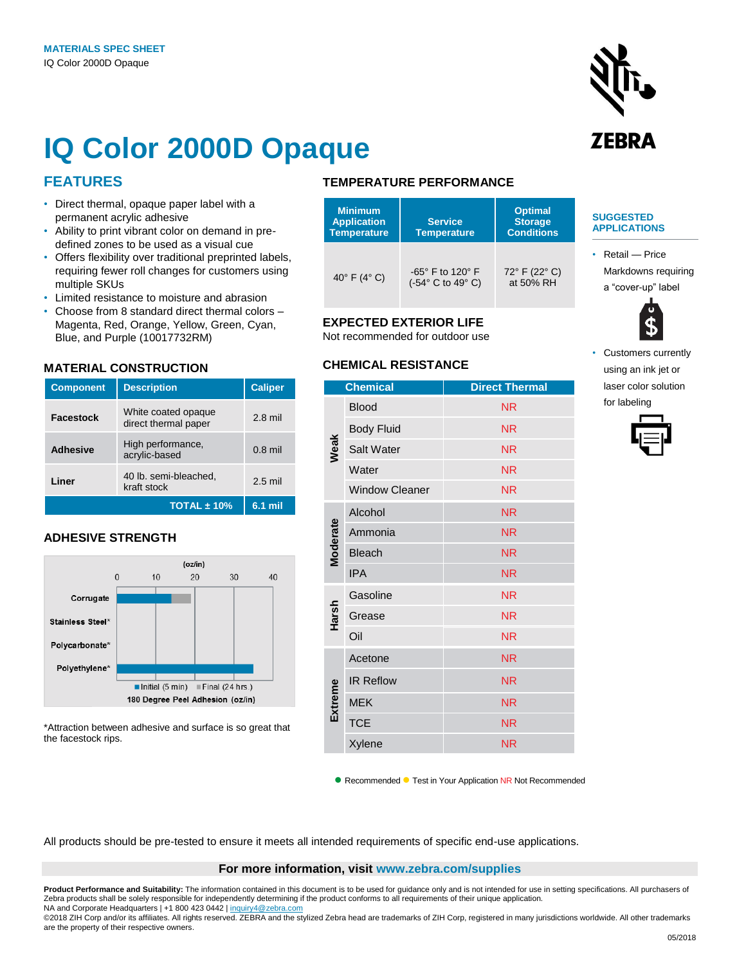

## **IQ Color 2000D Opaque**

## **FEATURES**

- Direct thermal, opaque paper label with a permanent acrylic adhesive
- Ability to print vibrant color on demand in predefined zones to be used as a visual cue
- Offers flexibility over traditional preprinted labels, requiring fewer roll changes for customers using multiple SKUs
- Limited resistance to moisture and abrasion
- Choose from 8 standard direct thermal colors Magenta, Red, Orange, Yellow, Green, Cyan, Blue, and Purple (10017732RM)

## **MATERIAL CONSTRUCTION**

| <b>Component</b> | <b>Description</b>                          | <b>Caliper</b> |
|------------------|---------------------------------------------|----------------|
| <b>Facestock</b> | White coated opaque<br>direct thermal paper | $2.8$ mil      |
| <b>Adhesive</b>  | High performance,<br>acrylic-based          | $0.8$ mil      |
| Liner            | 40 lb. semi-bleached,<br>kraft stock        | $2.5$ mil      |
|                  | TOTAL $\pm$ 10%                             | 6.1 mil        |

#### **ADHESIVE STRENGTH**



\*Attraction between adhesive and surface is so great that the facestock rips.

## **TEMPERATURE PERFORMANCE**

| <b>Minimum</b><br><b>Application</b><br><b>Temperature</b> | <b>Service</b><br><b>Temperature</b>  | <b>Optimal</b><br><b>Storage</b><br><b>Conditions</b> |
|------------------------------------------------------------|---------------------------------------|-------------------------------------------------------|
| 40 $\degree$ F (4 $\degree$ C)                             | -65° F to 120° F<br>(-54° C to 49° C) | 72° F (22° C)<br>at 50% RH                            |

#### **EXPECTED EXTERIOR LIFE**

Not recommended for outdoor use

### **CHEMICAL RESISTANCE**

|                 | <b>Chemical</b>       | <b>Direct Thermal</b> |
|-----------------|-----------------------|-----------------------|
|                 |                       |                       |
| Weak            | <b>Blood</b>          | <b>NR</b>             |
|                 | <b>Body Fluid</b>     | <b>NR</b>             |
|                 | Salt Water            | <b>NR</b>             |
|                 | Water                 | <b>NR</b>             |
|                 | <b>Window Cleaner</b> | <b>NR</b>             |
| <b>Moderate</b> | Alcohol               | <b>NR</b>             |
|                 | Ammonia               | <b>NR</b>             |
|                 | <b>Bleach</b>         | <b>NR</b>             |
|                 | <b>IPA</b>            | <b>NR</b>             |
| Harsh           | Gasoline              | <b>NR</b>             |
|                 | Grease                | <b>NR</b>             |
|                 | Oil                   | <b>NR</b>             |
| Extreme         | Acetone               | <b>NR</b>             |
|                 | <b>IR Reflow</b>      | <b>NR</b>             |
|                 | <b>MEK</b>            | <b>NR</b>             |
|                 | <b>TCE</b>            | <b>NR</b>             |
|                 | Xylene                | <b>NR</b>             |

#### **SUGGESTED APPLICATIONS**

• Retail — Price Markdowns requiring a "cover-up" label



Customers currently using an ink jet or laser color solution for labeling



● Recommended ● Test in Your Application NR Not Recommended

All products should be pre-tested to ensure it meets all intended requirements of specific end-use applications.

#### **For more information, visit www.zebra.com/supplies**

**Product Performance and Suitability:** The information contained in this document is to be used for guidance only and is not intended for use in setting specifications. All purchasers of Zebra products shall be solely responsible for independently determining if the product conforms to all requirements of their unique application. NA and Corporate Headquarters | +1 800 423 0442 [| inquiry4@zebra.com](mailto:inquiry4@zebra.com)

©2018 ZIH Corp and/or its affiliates. All rights reserved. ZEBRA and the stylized Zebra head are trademarks of ZIH Corp, registered in many jurisdictions worldwide. All other trademarks are the property of their respective owners.